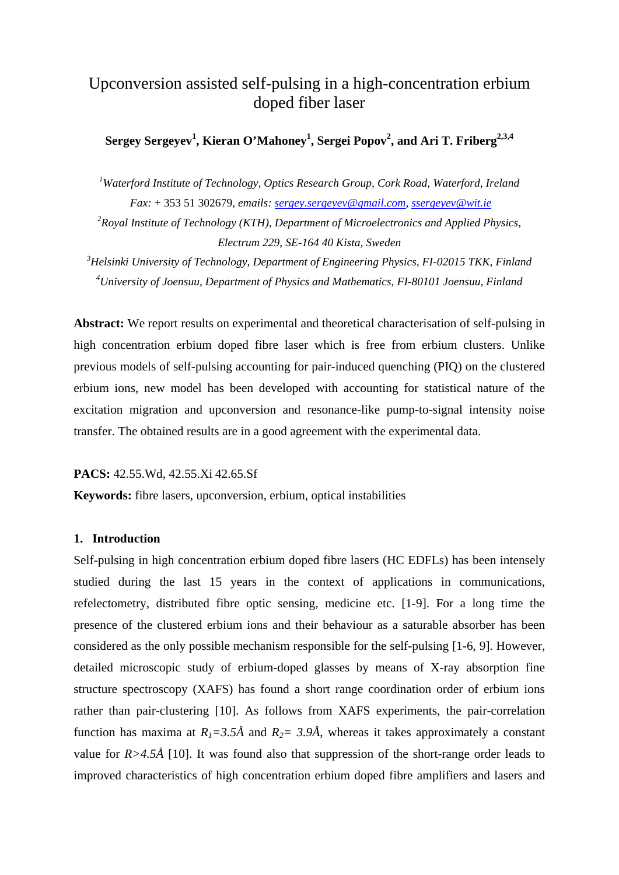# Upconversion assisted self-pulsing in a high-concentration erbium doped fiber laser

## $\operatorname{Sergey}$   $\operatorname{Sergeyev}^1$ ,  $\operatorname{Kieran O'Mahoney}^1$ ,  $\operatorname{Sergei}$   $\operatorname{Popov}^2$ , and  $\operatorname{Ari}$   $\operatorname{T.}$   $\operatorname{Friberg}^{2,3,4}$

<sup>1</sup>Waterford Institute of Technology, Optics Research Group, Cork Road, Waterford, Ireland  *Fax:* + 353 51 302679, *emails: sergey.sergeyev@gmail.com, ssergeyev@wit.ie*

*2 Royal Institute of Technology (KTH), Department of Microelectronics and Applied Physics, Electrum 229, SE-164 40 Kista, Sweden* 

*3 Helsinki University of Technology, Department of Engineering Physics, FI-02015 TKK, Finland 4 University of Joensuu, Department of Physics and Mathematics, FI-80101 Joensuu, Finland* 

**Abstract:** We report results on experimental and theoretical characterisation of self-pulsing in high concentration erbium doped fibre laser which is free from erbium clusters. Unlike previous models of self-pulsing accounting for pair-induced quenching (PIQ) on the clustered erbium ions, new model has been developed with accounting for statistical nature of the excitation migration and upconversion and resonance-like pump-to-signal intensity noise transfer. The obtained results are in a good agreement with the experimental data.

### **PACS:** 42.55.Wd, 42.55.Xi 42.65.Sf

**Keywords:** fibre lasers, upconversion, erbium, optical instabilities

### **1. Introduction**

Self-pulsing in high concentration erbium doped fibre lasers (HC EDFLs) has been intensely studied during the last 15 years in the context of applications in communications, refelectometry, distributed fibre optic sensing, medicine etc. [1-9]. For a long time the presence of the clustered erbium ions and their behaviour as a saturable absorber has been considered as the only possible mechanism responsible for the self-pulsing [1-6, 9]. However, detailed microscopic study of erbium-doped glasses by means of X-ray absorption fine structure spectroscopy (XAFS) has found a short range coordination order of erbium ions rather than pair-clustering [10]. As follows from XAFS experiments, the pair-correlation function has maxima at  $R_1 = 3.5\text{\AA}$  and  $R_2 = 3.9\text{\AA}$ , whereas it takes approximately a constant value for  $R > 4.5\text{\AA}$  [10]. It was found also that suppression of the short-range order leads to improved characteristics of high concentration erbium doped fibre amplifiers and lasers and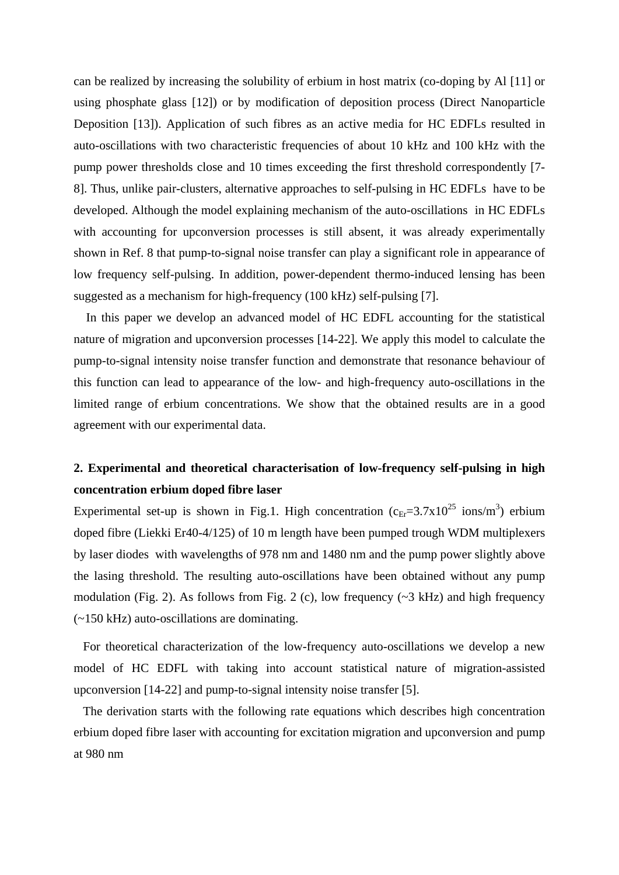can be realized by increasing the solubility of erbium in host matrix (co-doping by Al [11] or using phosphate glass [12]) or by modification of deposition process (Direct Nanoparticle Deposition [13]). Application of such fibres as an active media for HC EDFLs resulted in auto-oscillations with two characteristic frequencies of about 10 kHz and 100 kHz with the pump power thresholds close and 10 times exceeding the first threshold correspondently [7- 8]. Thus, unlike pair-clusters, alternative approaches to self-pulsing in HC EDFLs have to be developed. Although the model explaining mechanism of the auto-oscillations in HC EDFLs with accounting for upconversion processes is still absent, it was already experimentally shown in Ref. 8 that pump-to-signal noise transfer can play a significant role in appearance of low frequency self-pulsing. In addition, power-dependent thermo-induced lensing has been suggested as a mechanism for high-frequency (100 kHz) self-pulsing [7].

 In this paper we develop an advanced model of HC EDFL accounting for the statistical nature of migration and upconversion processes [14-22]. We apply this model to calculate the pump-to-signal intensity noise transfer function and demonstrate that resonance behaviour of this function can lead to appearance of the low- and high-frequency auto-oscillations in the limited range of erbium concentrations. We show that the obtained results are in a good agreement with our experimental data.

## **2. Experimental and theoretical characterisation of low-frequency self-pulsing in high concentration erbium doped fibre laser**

Experimental set-up is shown in Fig.1. High concentration  $(c_{Er} = 3.7 \times 10^{25} \text{ ions/m}^3)$  erbium doped fibre (Liekki Er40-4/125) of 10 m length have been pumped trough WDM multiplexers by laser diodes with wavelengths of 978 nm and 1480 nm and the pump power slightly above the lasing threshold. The resulting auto-oscillations have been obtained without any pump modulation (Fig. 2). As follows from Fig. 2 (c), low frequency ( $\sim$ 3 kHz) and high frequency (~150 kHz) auto-oscillations are dominating.

 For theoretical characterization of the low-frequency auto-oscillations we develop a new model of HC EDFL with taking into account statistical nature of migration-assisted upconversion [14-22] and pump-to-signal intensity noise transfer [5].

 The derivation starts with the following rate equations which describes high concentration erbium doped fibre laser with accounting for excitation migration and upconversion and pump at 980 nm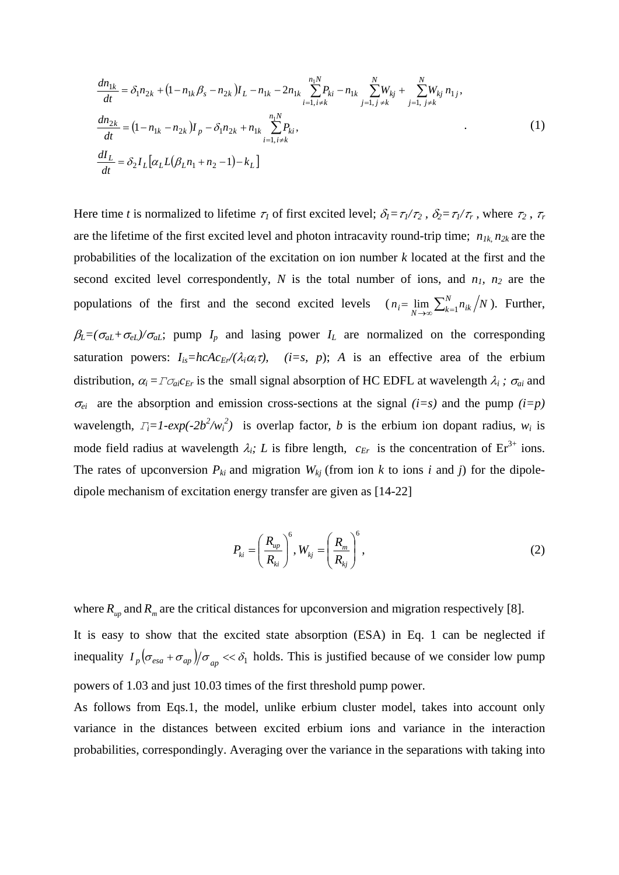$$
\frac{dn_{1k}}{dt} = \delta_1 n_{2k} + (1 - n_{1k}\beta_s - n_{2k})I_L - n_{1k} - 2n_{1k}\sum_{i=1, i \neq k}^{n_1N} P_{ki} - n_{1k}\sum_{j=1, j \neq k}^{N} W_{kj} + \sum_{j=1, j \neq k}^{N} W_{kj} n_{1j},
$$
\n
$$
\frac{dn_{2k}}{dt} = (1 - n_{1k} - n_{2k})I_p - \delta_1 n_{2k} + n_{1k}\sum_{i=1, i \neq k}^{n_1N} P_{ki},
$$
\n
$$
\frac{dI_L}{dt} = \delta_2 I_L[\alpha_L L(\beta_L n_1 + n_2 - 1) - k_L]
$$
\n(1)

Here time *t* is normalized to lifetime  $\tau_1$  of first excited level;  $\delta_1 = \tau_1/\tau_2$ ,  $\delta_2 = \tau_1/\tau_r$ , where  $\tau_2$ ,  $\tau_r$ are the lifetime of the first excited level and photon intracavity round-trip time; *n1k*, *n2k* are the probabilities of the localization of the excitation on ion number *k* located at the first and the second excited level correspondently,  $N$  is the total number of ions, and  $n_1$ ,  $n_2$  are the populations of the first and the second excited levels  $(n_i = \lim_{N \to \infty} \sum_{k=1}^{N} n_{ik}/N)$ . Further,  $\beta_L = (\sigma_{aL} + \sigma_{eL})/\sigma_{aL}$ ; pump  $I_p$  and lasing power  $I_l$  are normalized on the corresponding saturation powers:  $I_{is}=hcAc_{E}/(\lambda_i\alpha_i\tau)$ , (*i*=s, *p*); *A* is an effective area of the erbium distribution,  $\alpha_i = \Gamma \sigma_{ai} c_{Er}$  is the small signal absorption of HC EDFL at wavelength  $\lambda_i$ ;  $\sigma_{ai}$  and  $\sigma_{ei}$  are the absorption and emission cross-sections at the signal *(i=s)* and the pump *(i=p)* wavelength,  $T_i = 1 - exp(-2b^2/w_i^2)$  is overlap factor, *b* is the erbium ion dopant radius,  $w_i$  is mode field radius at wavelength  $\lambda_i$ ; L is fibre length,  $c_{Er}$  is the concentration of  $Er^{3+}$  ions. The rates of upconversion  $P_{ki}$  and migration  $W_{kj}$  (from ion  $k$  to ions  $i$  and  $j$ ) for the dipoledipole mechanism of excitation energy transfer are given as [14-22]

$$
P_{ki} = \left(\frac{R_{up}}{R_{ki}}\right)^6, W_{kj} = \left(\frac{R_m}{R_{kj}}\right)^6,
$$
\n(2)

where  $R_{uv}$  and  $R_m$  are the critical distances for upconversion and migration respectively [8].

It is easy to show that the excited state absorption (ESA) in Eq. 1 can be neglected if inequality  $I_p \left( \sigma_{\text{esa}} + \sigma_{\text{ap}} \right) / \sigma_{\text{ap}} \ll \delta_1$  holds. This is justified because of we consider low pump powers of 1.03 and just 10.03 times of the first threshold pump power.

As follows from Eqs.1, the model, unlike erbium cluster model, takes into account only variance in the distances between excited erbium ions and variance in the interaction probabilities, correspondingly. Averaging over the variance in the separations with taking into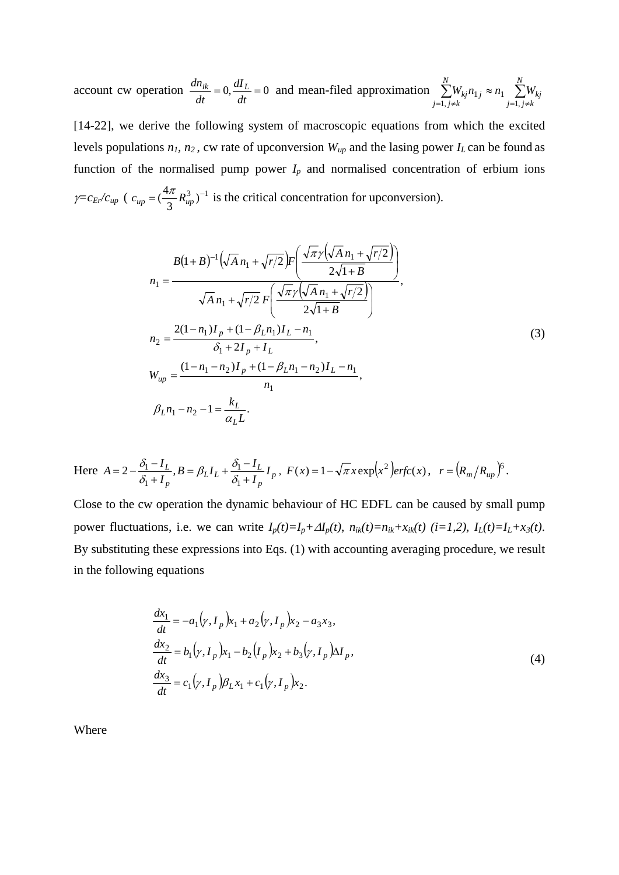account cw operation  $\frac{an_{ik}}{1} = 0$ ,  $\frac{an_{L}}{1} = 0$ *dt dI*  $\frac{dn_{ik}}{dt} = 0$ ,  $\frac{dI_L}{dt} = 0$  and mean-filed approximation  $\sum_{i=1}^{N} W_{kj} n_{1j} \approx n_1 \sum_{i=1}^{N}$  $=1, j \neq k$   $j=1, j \neq j$  $\approx n_1 \quad \sum^{N}$  $j=1, j\neq k$ *kj N*  $j=1, j\neq k$  $W_{kj}n_{1j} \approx n_1$   $\sum W$ 1,  $\overline{1}$ 1, 1

[14-22], we derive the following system of macroscopic equations from which the excited levels populations  $n_1$ ,  $n_2$ , cw rate of upconversion  $W_{up}$  and the lasing power  $I_L$  can be found as function of the normalised pump power  $I_p$  and normalised concentration of erbium ions  $\gamma = c_{Er}/c_{up}$  (  $c_{up} = (\frac{4\pi}{3} R_{up}^3)^{-1}$  is the critical concentration for upconversion).

$$
B(1+B)^{-1}(\sqrt{A} n_1 + \sqrt{r/2})F\left(\frac{\sqrt{\pi}\gamma(\sqrt{A} n_1 + \sqrt{r/2})}{2\sqrt{1+B}}\right)
$$
  
\n
$$
n_1 = \frac{\sqrt{A} n_1 + \sqrt{r/2} F\left(\frac{\sqrt{\pi}\gamma(\sqrt{A} n_1 + \sqrt{r/2})}{2\sqrt{1+B}}\right)}{\sqrt{A} n_1 + \sqrt{r/2} F\left(\frac{\sqrt{\pi}\gamma(\sqrt{A} n_1 + \sqrt{r/2})}{2\sqrt{1+B}}\right)}
$$
  
\n
$$
n_2 = \frac{2(1-n_1)I_p + (1-\beta_L n_1)I_L - n_1}{\delta_1 + 2I_p + I_L},
$$
  
\n
$$
W_{up} = \frac{(1-n_1-n_2)I_p + (1-\beta_L n_1 - n_2)I_L - n_1}{n_1},
$$
  
\n
$$
\beta_L n_1 - n_2 - 1 = \frac{k_L}{\alpha_L L}.
$$
  
\n(3)

Here 
$$
A = 2 - \frac{\delta_1 - I_L}{\delta_1 + I_p}
$$
,  $B = \beta_L I_L + \frac{\delta_1 - I_L}{\delta_1 + I_p} I_p$ ,  $F(x) = 1 - \sqrt{\pi} x \exp(x^2) \text{erfc}(x)$ ,  $r = (R_m/R_{up})^6$ .

Close to the cw operation the dynamic behaviour of HC EDFL can be caused by small pump power fluctuations, i.e. we can write  $I_p(t)=I_p+A I_p(t)$ ,  $n_{ik}(t)=n_{ik}+x_{ik}(t)$  (i=1,2),  $I_L(t)=I_L+x_3(t)$ . By substituting these expressions into Eqs. (1) with accounting averaging procedure, we result in the following equations

$$
\frac{dx_1}{dt} = -a_1(\gamma, I_p)x_1 + a_2(\gamma, I_p)x_2 - a_3x_3,
$$
\n
$$
\frac{dx_2}{dt} = b_1(\gamma, I_p)x_1 - b_2(I_p)x_2 + b_3(\gamma, I_p)\Delta I_p,
$$
\n
$$
\frac{dx_3}{dt} = c_1(\gamma, I_p)\beta_L x_1 + c_1(\gamma, I_p)x_2.
$$
\n(4)

Where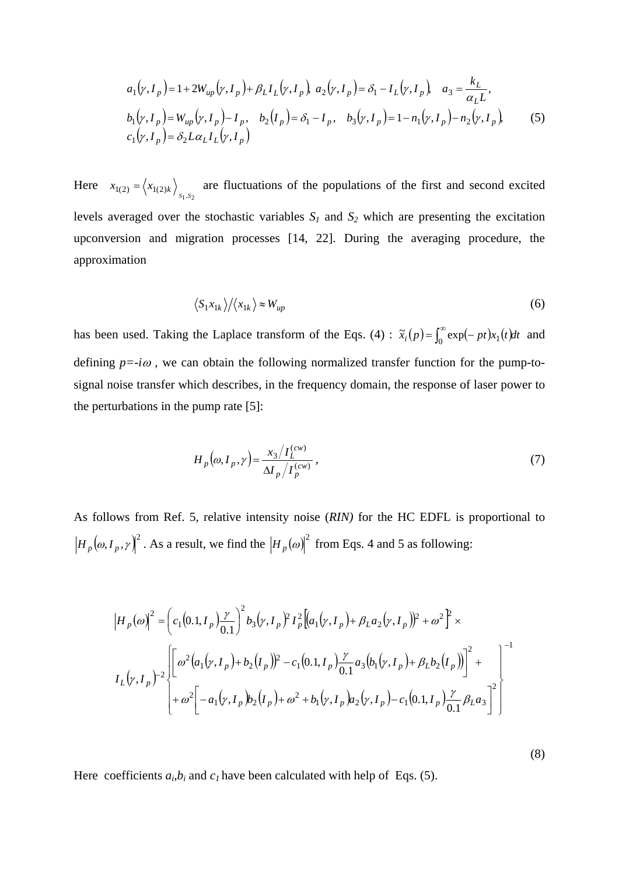$$
a_1(\gamma, I_p) = 1 + 2W_{up}(\gamma, I_p) + \beta_L I_L(\gamma, I_p), \ a_2(\gamma, I_p) = \delta_1 - I_L(\gamma, I_p), \ a_3 = \frac{k_L}{\alpha_L L},
$$
  
\n
$$
b_1(\gamma, I_p) = W_{up}(\gamma, I_p) - I_p, \ b_2(I_p) = \delta_1 - I_p, \ b_3(\gamma, I_p) = 1 - n_1(\gamma, I_p) - n_2(\gamma, I_p),
$$
  
\n
$$
c_1(\gamma, I_p) = \delta_2 L \alpha_L I_L(\gamma, I_p)
$$
\n(5)

Here  $x_{1(2)} = \langle x_{1(2)k} \rangle$  are fluctuations of the populations of the first and second excited levels averaged over the stochastic variables  $S_1$  and  $S_2$  which are presenting the excitation upconversion and migration processes [14, 22]. During the averaging procedure, the approximation

$$
\langle S_1 x_{1k} \rangle / \langle x_{1k} \rangle \approx W_{up} \tag{6}
$$

has been used. Taking the Laplace transform of the Eqs. (4) :  $\tilde{x}_i(p) = \int_0^\infty \exp(-pt)x_1(t)dt$  and defining  $p = -i\omega$ , we can obtain the following normalized transfer function for the pump-tosignal noise transfer which describes, in the frequency domain, the response of laser power to the perturbations in the pump rate [5]:

$$
H_p(\omega, I_p, \gamma) = \frac{x_3 / I_L^{(cw)}}{\Delta I_p / I_p^{(cw)}},
$$
\n<sup>(7)</sup>

As follows from Ref. 5, relative intensity noise (*RIN)* for the HC EDFL is proportional to  $H_p(\omega, I_p, \gamma)^2$ . As a result, we find the  $\left|H_p(\omega)\right|^2$  from Eqs. 4 and 5 as following:

$$
\left|H_{p}(\omega)\right|^{2} = \left(c_{1}(0.1, I_{p})\frac{\gamma}{0.1}\right)^{2}b_{3}(\gamma, I_{p})^{2}I_{p}^{2}\left[(a_{1}(\gamma, I_{p}) + \beta_{L}a_{2}(\gamma, I_{p}))^{2} + \omega^{2}\right]^{2}\times
$$
\n
$$
I_{L}(\gamma, I_{p})^{-2}\left[\omega^{2}(a_{1}(\gamma, I_{p}) + b_{2}(I_{p}))^{2} - c_{1}(0.1, I_{p})\frac{\gamma}{0.1}a_{3}(b_{1}(\gamma, I_{p}) + \beta_{L}b_{2}(I_{p}))\right]^{2} + \omega^{2}\left[-a_{1}(\gamma, I_{p})b_{2}(I_{p}) + \omega^{2} + b_{1}(\gamma, I_{p})a_{2}(\gamma, I_{p}) - c_{1}(0.1, I_{p})\frac{\gamma}{0.1}\beta_{L}a_{3}\right]^{2}\right]
$$

Here coefficients  $a_i, b_i$  and  $c_i$  have been calculated with help of Eqs. (5).

(8)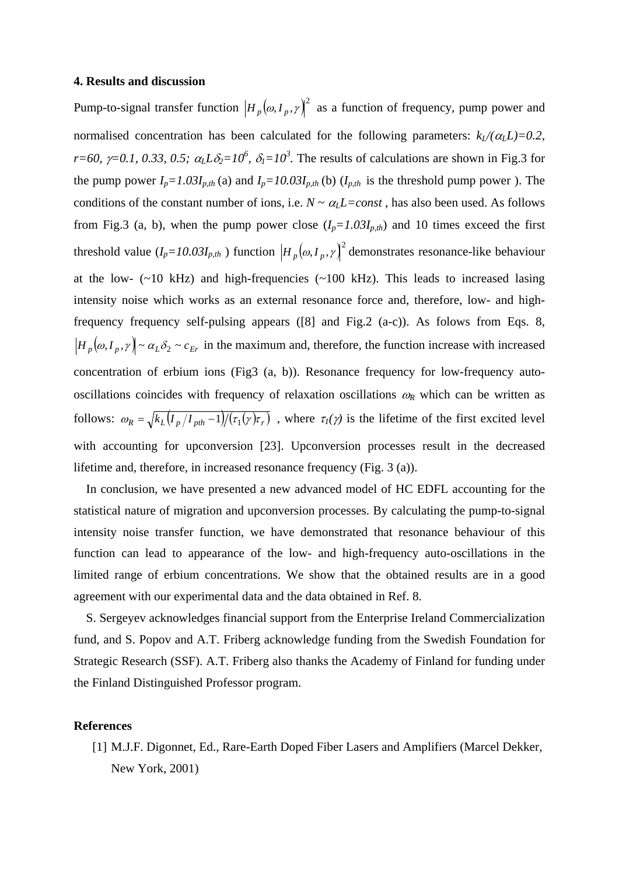#### **4. Results and discussion**

Pump-to-signal transfer function  $\left|H_p(\omega, I_p, \gamma)\right|^2$  as a function of frequency, pump power and normalised concentration has been calculated for the following parameters:  $k_l/(\alpha_l L)=0.2$ , *r*=60,  $\gamma$ =0.1, 0.33, 0.5;  $\alpha$ <sub>L</sub>L $\delta$ <sub>2</sub>=10<sup>6</sup>,  $\delta$ <sub>1</sub>=10<sup>3</sup>. The results of calculations are shown in Fig.3 for the pump power  $I_p = 1.03I_{p,th}$  (a) and  $I_p = 10.03I_{p,th}$  (b)  $(I_{p,th}$  is the threshold pump power ). The conditions of the constant number of ions, i.e.  $N \sim \alpha_l L = const$ , has also been used. As follows from Fig.3 (a, b), when the pump power close  $(I_p=1.03I_{p,th})$  and 10 times exceed the first threshold value  $(I_p=10.03I_{p,th})$  function  $\left|H_p(\omega, I_p, \gamma)\right|^2$  demonstrates resonance-like behaviour at the low-  $(\sim 10 \text{ kHz})$  and high-frequencies  $(\sim 100 \text{ kHz})$ . This leads to increased lasing intensity noise which works as an external resonance force and, therefore, low- and highfrequency frequency self-pulsing appears ([8] and Fig.2 (a-c)). As folows from Eqs. 8,  $\left|H_p(\omega, I_p, \gamma)\right| \sim \alpha_L \delta_2 \sim c_{Er}$  in the maximum and, therefore, the function increase with increased concentration of erbium ions (Fig3 (a, b)). Resonance frequency for low-frequency autooscillations coincides with frequency of relaxation oscillations  $\omega_R$  which can be written as follows:  $\omega_R = \sqrt{k_L (I_p/I_{pth}-1)/(r_1(\gamma)\tau_r)}$ , where  $\tau_l(\gamma)$  is the lifetime of the first excited level with accounting for upconversion [23]. Upconversion processes result in the decreased lifetime and, therefore, in increased resonance frequency (Fig. 3 (a)).

 In conclusion, we have presented a new advanced model of HC EDFL accounting for the statistical nature of migration and upconversion processes. By calculating the pump-to-signal intensity noise transfer function, we have demonstrated that resonance behaviour of this function can lead to appearance of the low- and high-frequency auto-oscillations in the limited range of erbium concentrations. We show that the obtained results are in a good agreement with our experimental data and the data obtained in Ref. 8.

 S. Sergeyev acknowledges financial support from the Enterprise Ireland Commercialization fund, and S. Popov and A.T. Friberg acknowledge funding from the Swedish Foundation for Strategic Research (SSF). A.T. Friberg also thanks the Academy of Finland for funding under the Finland Distinguished Professor program.

### **References**

[1] M.J.F. Digonnet, Ed., Rare-Earth Doped Fiber Lasers and Amplifiers (Marcel Dekker, New York, 2001)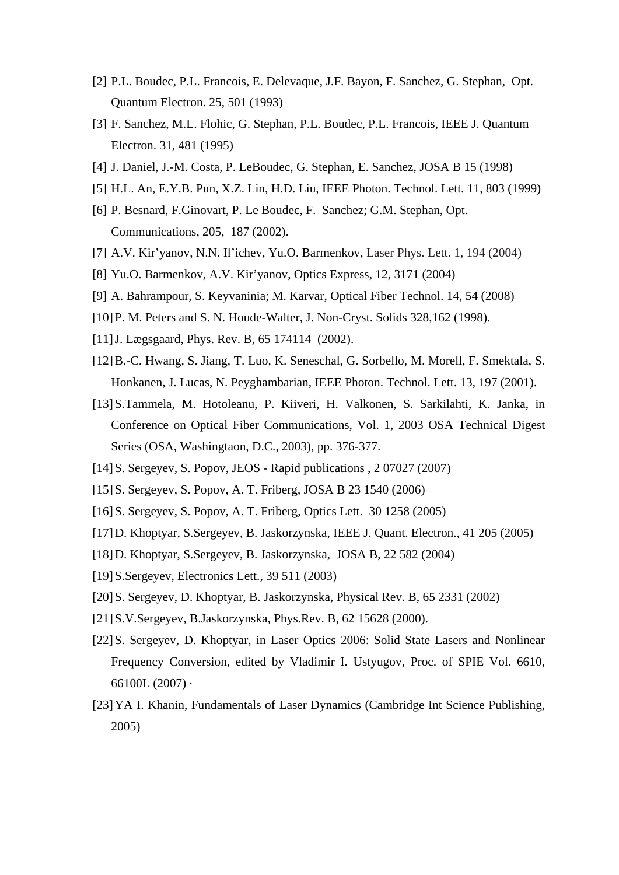- [2] P.L. Boudec, P.L. Francois, E. Delevaque, J.F. Bayon, F. Sanchez, G. Stephan, Opt. Quantum Electron. 25, 501 (1993)
- [3] F. Sanchez, M.L. Flohic, G. Stephan, P.L. Boudec, P.L. Francois, IEEE J. Quantum Electron. 31, 481 (1995)
- [4] J. Daniel, J.-M. Costa, P. LeBoudec, G. Stephan, E. Sanchez, JOSA B 15 (1998)
- [5] H.L. An, E.Y.B. Pun, X.Z. Lin, H.D. Liu, IEEE Photon. Technol. Lett. 11, 803 (1999)
- [6] P. Besnard, F.Ginovart, P. Le Boudec, F. Sanchez; G.M. Stephan, Opt. Communications, 205, 187 (2002).
- [7] A.V. Kir'yanov, N.N. Il'ichev, Yu.O. Barmenkov, Laser Phys. Lett. 1, 194 (2004)
- [8] Yu.O. Barmenkov, A.V. Kir'yanov, Optics Express, 12, 3171 (2004)
- [9] A. Bahrampour, S. Keyvaninia; M. Karvar, Optical Fiber Technol. 14, 54 (2008)
- [10] P. M. Peters and S. N. Houde-Walter, J. Non-Cryst. Solids 328,162 (1998).
- [11] J. Lægsgaard, Phys. Rev. B, 65 174114 (2002).
- [12]B.-C. Hwang, S. Jiang, T. Luo, K. Seneschal, G. Sorbello, M. Morell, F. Smektala, S. Honkanen, J. Lucas, N. Peyghambarian, IEEE Photon. Technol. Lett. 13, 197 (2001).
- [13]S.Tammela, M. Hotoleanu, P. Kiiveri, H. Valkonen, S. Sarkilahti, K. Janka, in Conference on Optical Fiber Communications, Vol. 1, 2003 OSA Technical Digest Series (OSA, Washingtaon, D.C., 2003), pp. 376-377.
- [14]S. Sergeyev, S. Popov, JEOS Rapid publications , 2 07027 (2007)
- [15]S. Sergeyev, S. Popov, A. T. Friberg, JOSA B 23 1540 (2006)
- [16]S. Sergeyev, S. Popov, A. T. Friberg, Optics Lett. 30 1258 (2005)
- [17]D. Khoptyar, S.Sergeyev, B. Jaskorzynska, IEEE J. Quant. Electron., 41 205 (2005)
- [18]D. Khoptyar, S.Sergeyev, B. Jaskorzynska, JOSA B, 22 582 (2004)
- [19]S.Sergeyev, Electronics Lett., 39 511 (2003)
- [20]S. Sergeyev, D. Khoptyar, B. Jaskorzynska, Physical Rev. B, 65 2331 (2002)
- [21]S.V.Sergeyev, B.Jaskorzynska, Phys.Rev. B, 62 15628 (2000).
- [22]S. Sergeyev, D. Khoptyar, in Laser Optics 2006: Solid State Lasers and Nonlinear Frequency Conversion, edited by Vladimir I. Ustyugov, Proc. of SPIE Vol. 6610, 66100L (2007) ·
- [23] YA I. Khanin, Fundamentals of Laser Dynamics (Cambridge Int Science Publishing, 2005)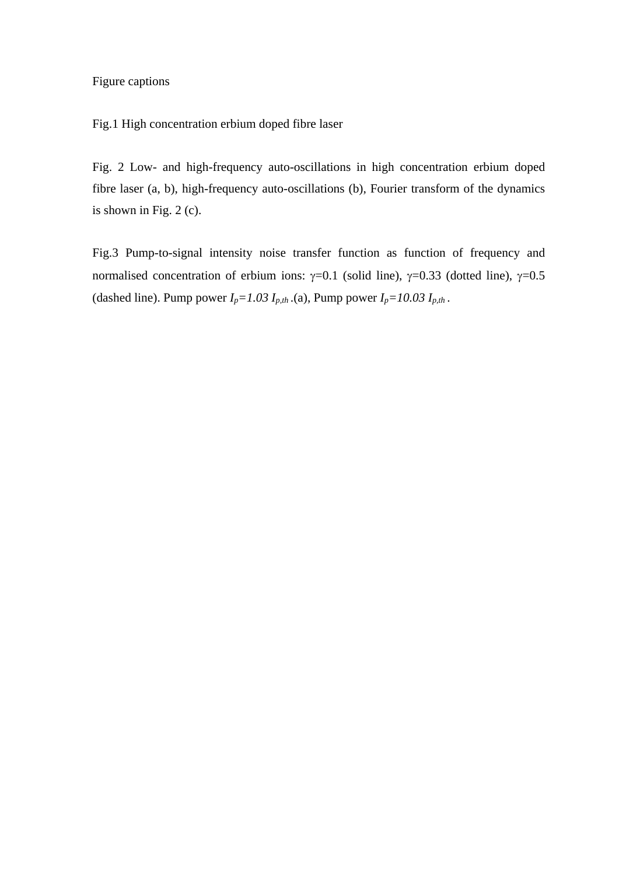### Figure captions

Fig.1 High concentration erbium doped fibre laser

Fig. 2 Low- and high-frequency auto-oscillations in high concentration erbium doped fibre laser (a, b), high-frequency auto-oscillations (b), Fourier transform of the dynamics is shown in Fig. 2 (c).

Fig.3 Pump-to-signal intensity noise transfer function as function of frequency and normalised concentration of erbium ions:  $\gamma=0.1$  (solid line),  $\gamma=0.33$  (dotted line),  $\gamma=0.5$ (dashed line). Pump power  $I_p = 1.03 I_{p,th}$  (a), Pump power  $I_p = 10.03 I_{p,th}$ .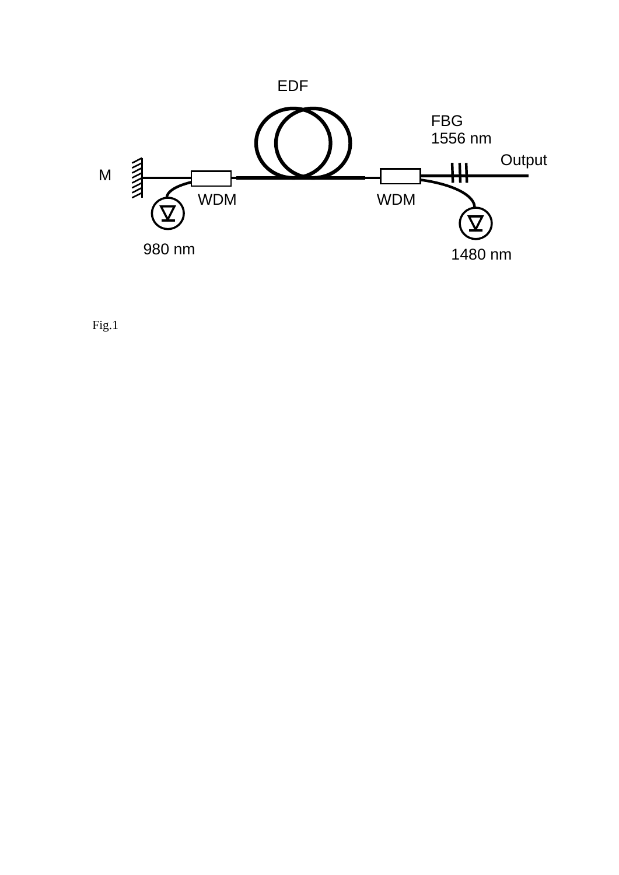

Fig.1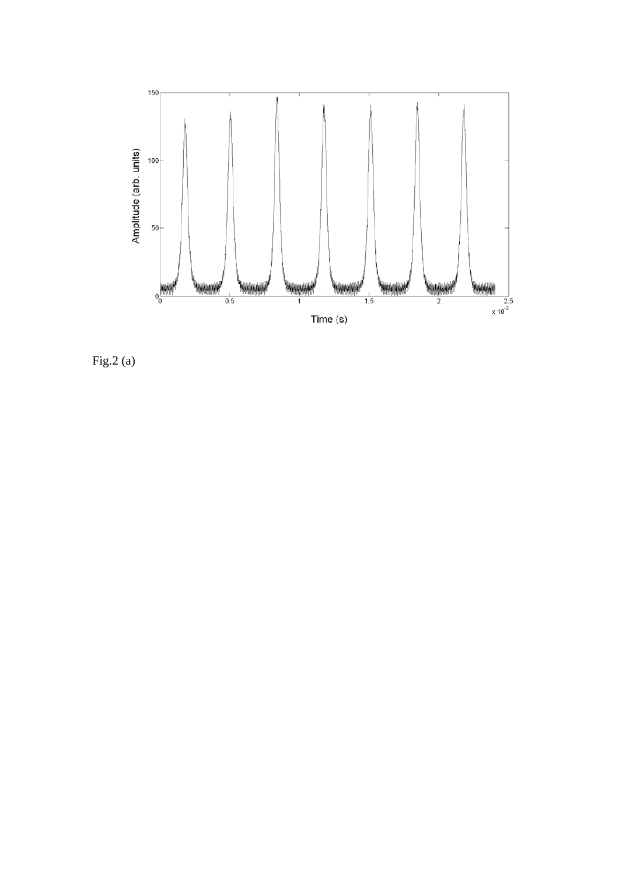

Fig.2 (a)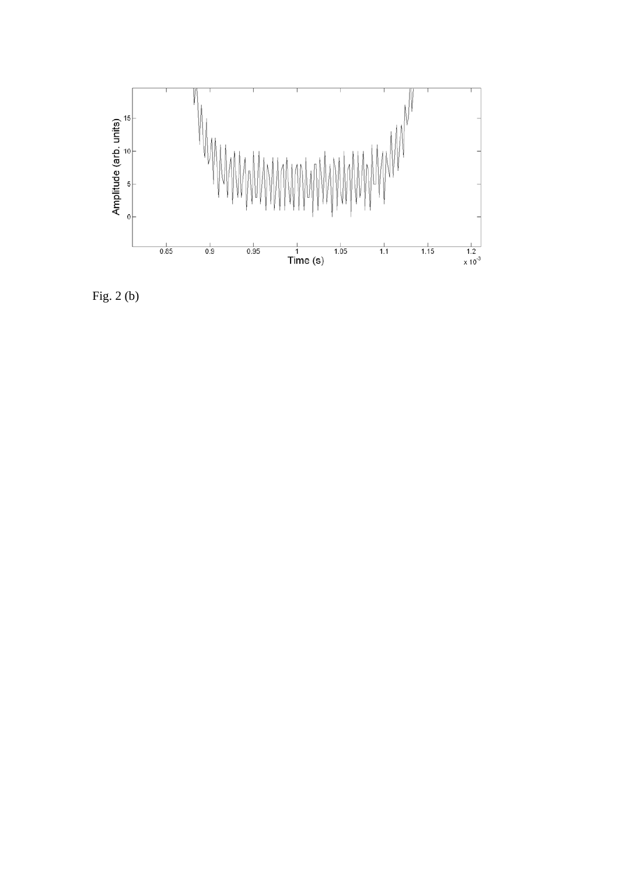

Fig. 2 (b)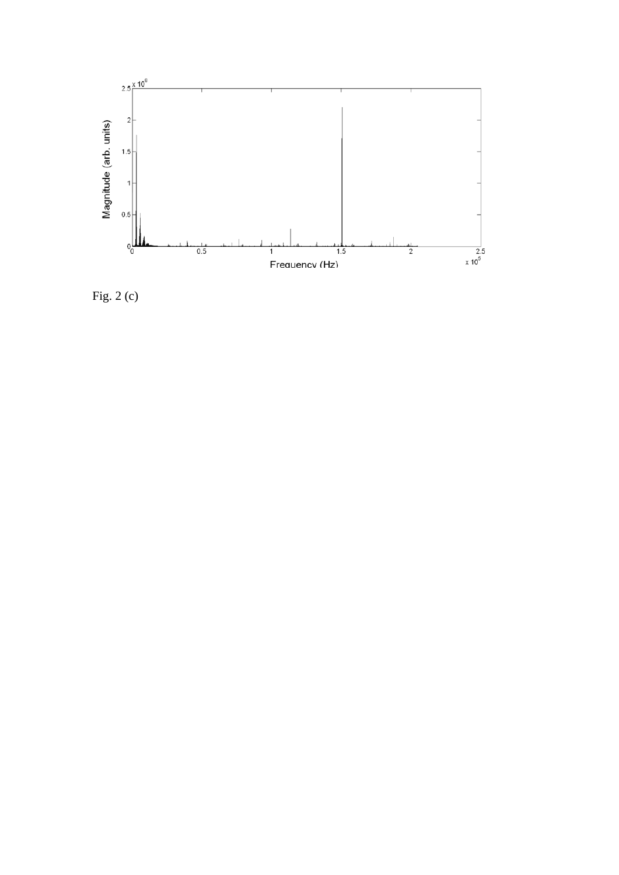

Fig. 2 (c)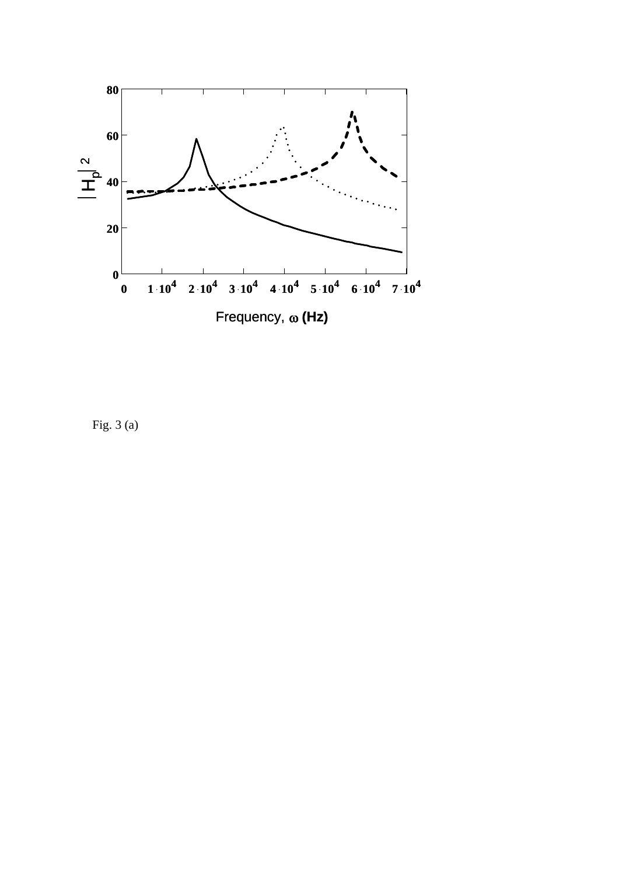

Fig. 3 (a)